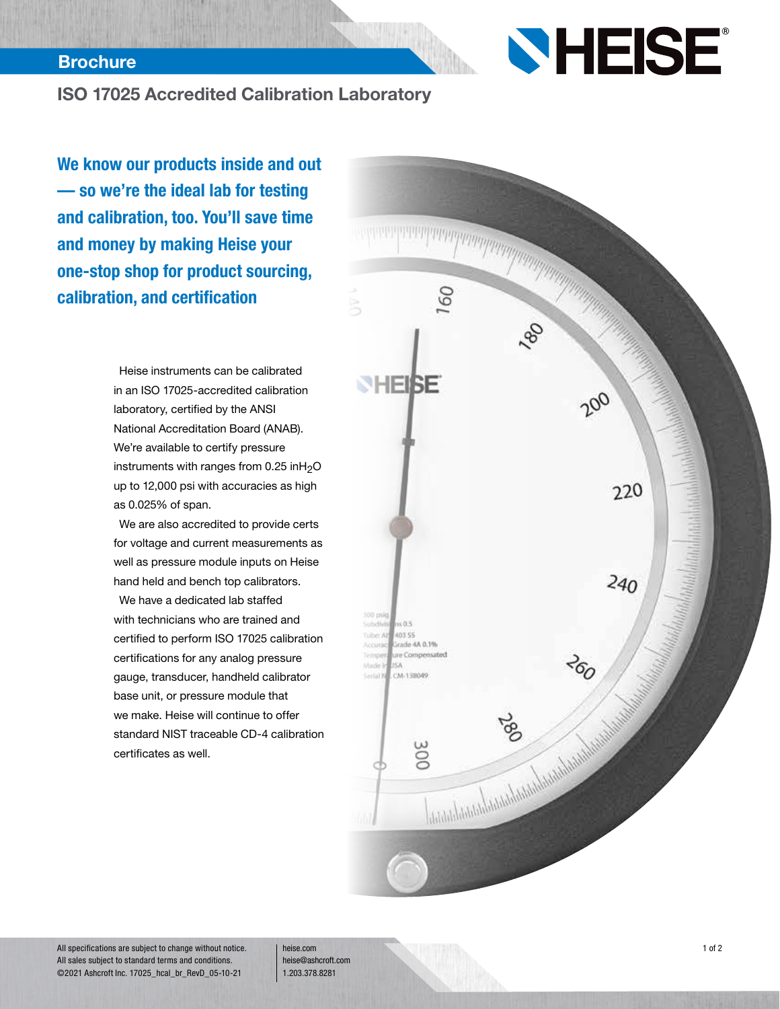#### **Brochure**

# **SHEISE**

### ISO 17025 Accredited Calibration Laboratory

We know our products inside and out — so we're the ideal lab for testing and calibration, too. You'll save time and money by making Heise your one-stop shop for product sourcing, calibration, and certification

> Heise instruments can be calibrated in an ISO 17025-accredited calibration laboratory, certified by the ANSI National Accreditation Board (ANAB). We're available to certify pressure instruments with ranges from  $0.25$  inH<sub>2</sub>O up to 12,000 psi with accuracies as high as 0.025% of span.

We are also accredited to provide certs for voltage and current measurements as well as pressure module inputs on Heise hand held and bench top calibrators.

We have a dedicated lab staffed with technicians who are trained and certified to perform ISO 17025 calibration certifications for any analog pressure gauge, transducer, handheld calibrator base unit, or pressure module that we make. Heise will continue to offer standard NIST traceable CD-4 calibration certificates as well.



All specifications are subject to change without notice. All sales subject to standard terms and conditions. ©2021 Ashcroft Inc. 17025\_hcal\_br\_RevD\_05-10-21

heise.com heise@ashcroft.com 1.203.378.8281